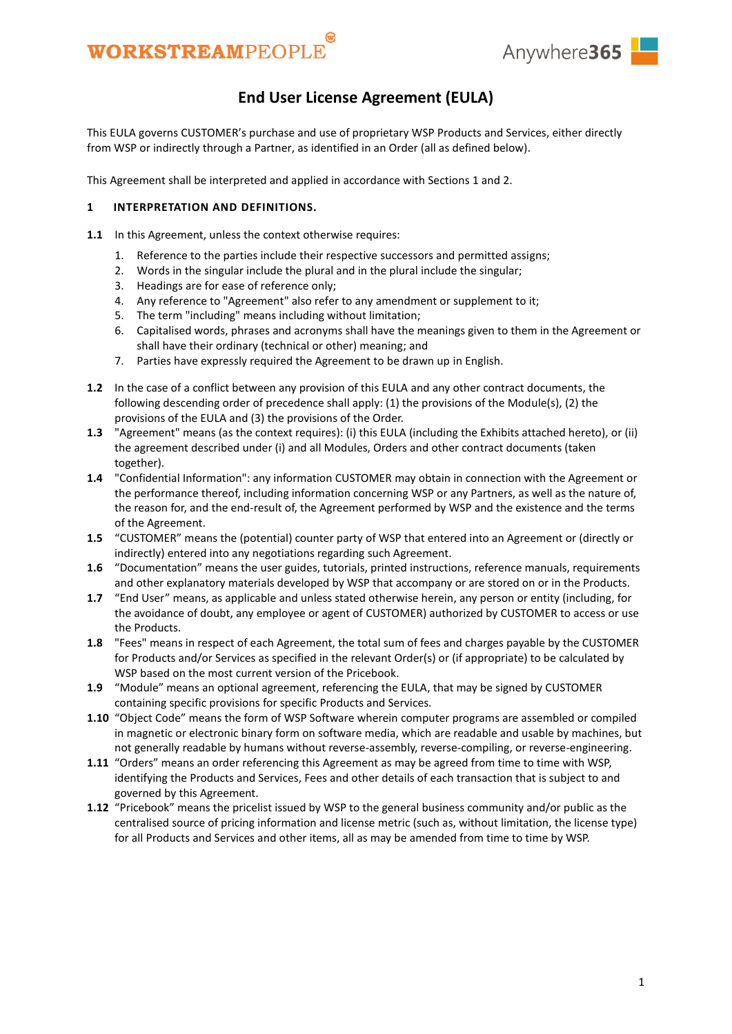



### **End User License Agreement (EULA)**

This EULA governs CUSTOMER's purchase and use of proprietary WSP Products and Services, either directly from WSP or indirectly through a Partner, as identified in an Order (all as defined below).

This Agreement shall be interpreted and applied in accordance with Sections [1](#page-0-0) an[d 2.](#page-1-0)

#### <span id="page-0-0"></span>**1 INTERPRETATION AND DEFINITIONS.**

- **1.1** In this Agreement, unless the context otherwise requires:
	- 1. Reference to the parties include their respective successors and permitted assigns;
	- 2. Words in the singular include the plural and in the plural include the singular;
	- 3. Headings are for ease of reference only;
	- 4. Any reference to "Agreement" also refer to any amendment or supplement to it;
	- 5. The term "including" means including without limitation;
	- 6. Capitalised words, phrases and acronyms shall have the meanings given to them in the Agreement or shall have their ordinary (technical or other) meaning; and
	- 7. Parties have expressly required the Agreement to be drawn up in English.
- **1.2** In the case of a conflict between any provision of this EULA and any other contract documents, the following descending order of precedence shall apply: (1) the provisions of the Module(s), (2) the provisions of the EULA and (3) the provisions of the Order.
- **1.3** "Agreement" means (as the context requires): (i) this EULA (including the Exhibits attached hereto), or (ii) the agreement described under (i) and all Modules, Orders and other contract documents (taken together).
- **1.4** "Confidential Information": any information CUSTOMER may obtain in connection with the Agreement or the performance thereof, including information concerning WSP or any Partners, as well as the nature of, the reason for, and the end-result of, the Agreement performed by WSP and the existence and the terms of the Agreement.
- **1.5** "CUSTOMER" means the (potential) counter party of WSP that entered into an Agreement or (directly or indirectly) entered into any negotiations regarding such Agreement.
- **1.6** "Documentation" means the user guides, tutorials, printed instructions, reference manuals, requirements and other explanatory materials developed by WSP that accompany or are stored on or in the Products.
- **1.7** "End User" means, as applicable and unless stated otherwise herein, any person or entity (including, for the avoidance of doubt, any employee or agent of CUSTOMER) authorized by CUSTOMER to access or use the Products.
- **1.8** "Fees" means in respect of each Agreement, the total sum of fees and charges payable by the CUSTOMER for Products and/or Services as specified in the relevant Order(s) or (if appropriate) to be calculated by WSP based on the most current version of the Pricebook.
- **1.9** "Module" means an optional agreement, referencing the EULA, that may be signed by CUSTOMER containing specific provisions for specific Products and Services.
- **1.10** "Object Code" means the form of WSP Software wherein computer programs are assembled or compiled in magnetic or electronic binary form on software media, which are readable and usable by machines, but not generally readable by humans without reverse-assembly, reverse-compiling, or reverse-engineering.
- **1.11** "Orders" means an order referencing this Agreement as may be agreed from time to time with WSP, identifying the Products and Services, Fees and other details of each transaction that is subject to and governed by this Agreement.
- **1.12** "Pricebook" means the pricelist issued by WSP to the general business community and/or public as the centralised source of pricing information and license metric (such as, without limitation, the license type) for all Products and Services and other items, all as may be amended from time to time by WSP.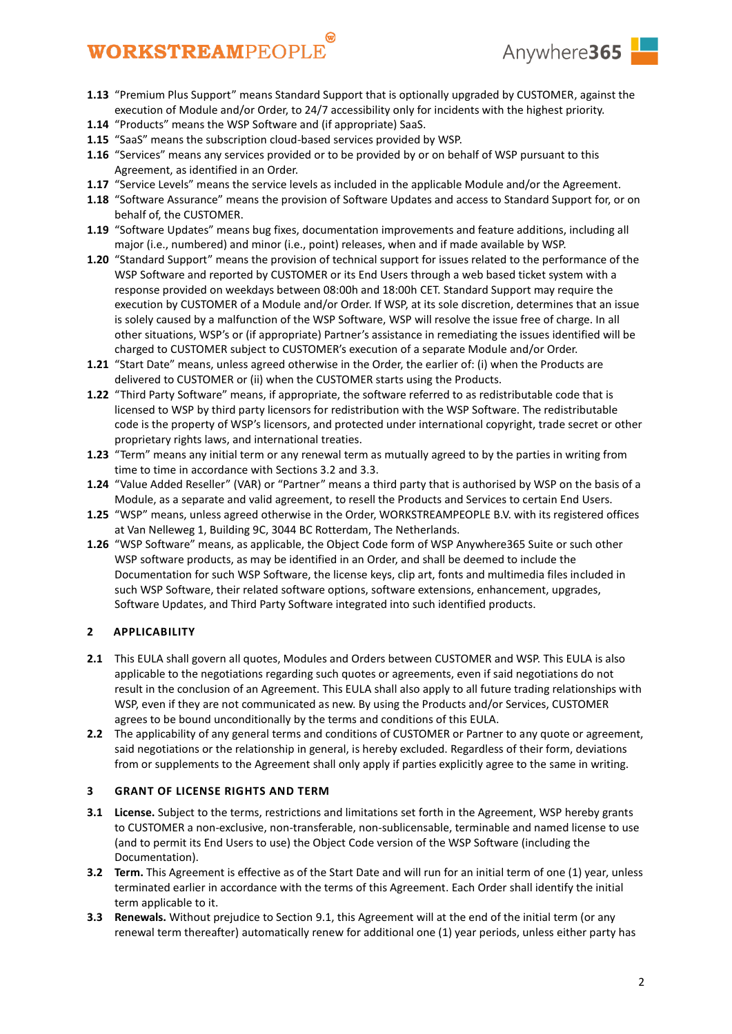

- **1.13** "Premium Plus Support" means Standard Support that is optionally upgraded by CUSTOMER, against the execution of Module and/or Order, to 24/7 accessibility only for incidents with the highest priority.
- **1.14** "Products" means the WSP Software and (if appropriate) SaaS.
- **1.15** "SaaS" means the subscription cloud-based services provided by WSP.
- **1.16** "Services" means any services provided or to be provided by or on behalf of WSP pursuant to this Agreement, as identified in an Order.
- **1.17** "Service Levels" means the service levels as included in the applicable Module and/or the Agreement.
- **1.18** "Software Assurance" means the provision of Software Updates and access to Standard Support for, or on behalf of, the CUSTOMER.
- **1.19** "Software Updates" means bug fixes, documentation improvements and feature additions, including all major (i.e., numbered) and minor (i.e., point) releases, when and if made available by WSP.
- **1.20** "Standard Support" means the provision of technical support for issues related to the performance of the WSP Software and reported by CUSTOMER or its End Users through a web based ticket system with a response provided on weekdays between 08:00h and 18:00h CET. Standard Support may require the execution by CUSTOMER of a Module and/or Order. If WSP, at its sole discretion, determines that an issue is solely caused by a malfunction of the WSP Software, WSP will resolve the issue free of charge. In all other situations, WSP's or (if appropriate) Partner's assistance in remediating the issues identified will be charged to CUSTOMER subject to CUSTOMER's execution of a separate Module and/or Order.
- **1.21** "Start Date" means, unless agreed otherwise in the Order, the earlier of: (i) when the Products are delivered to CUSTOMER or (ii) when the CUSTOMER starts using the Products.
- **1.22** "Third Party Software" means, if appropriate, the software referred to as redistributable code that is licensed to WSP by third party licensors for redistribution with the WSP Software. The redistributable code is the property of WSP's licensors, and protected under international copyright, trade secret or other proprietary rights laws, and international treaties.
- **1.23** "Term" means any initial term or any renewal term as mutually agreed to by the parties in writing from time to time in accordance with Sections [3.2](#page-1-1) and [3.3.](#page-1-2)
- **1.24** "Value Added Reseller" (VAR) or "Partner" means a third party that is authorised by WSP on the basis of a Module, as a separate and valid agreement, to resell the Products and Services to certain End Users.
- **1.25** "WSP" means, unless agreed otherwise in the Order, WORKSTREAMPEOPLE B.V. with its registered offices at Van Nelleweg 1, Building 9C, 3044 BC Rotterdam, The Netherlands.
- **1.26** "WSP Software" means, as applicable, the Object Code form of WSP Anywhere365 Suite or such other WSP software products, as may be identified in an Order, and shall be deemed to include the Documentation for such WSP Software, the license keys, clip art, fonts and multimedia files included in such WSP Software, their related software options, software extensions, enhancement, upgrades, Software Updates, and Third Party Software integrated into such identified products.

### <span id="page-1-0"></span>**2 APPLICABILITY**

- **2.1** This EULA shall govern all quotes, Modules and Orders between CUSTOMER and WSP. This EULA is also applicable to the negotiations regarding such quotes or agreements, even if said negotiations do not result in the conclusion of an Agreement. This EULA shall also apply to all future trading relationships with WSP, even if they are not communicated as new. By using the Products and/or Services, CUSTOMER agrees to be bound unconditionally by the terms and conditions of this EULA.
- **2.2** The applicability of any general terms and conditions of CUSTOMER or Partner to any quote or agreement, said negotiations or the relationship in general, is hereby excluded. Regardless of their form, deviations from or supplements to the Agreement shall only apply if parties explicitly agree to the same in writing.

### <span id="page-1-4"></span>**3 GRANT OF LICENSE RIGHTS AND TERM**

- <span id="page-1-3"></span>**3.1 License.** Subject to the terms, restrictions and limitations set forth in the Agreement, WSP hereby grants to CUSTOMER a non-exclusive, non-transferable, non-sublicensable, terminable and named license to use (and to permit its End Users to use) the Object Code version of the WSP Software (including the Documentation).
- <span id="page-1-1"></span>**3.2 Term.** This Agreement is effective as of the Start Date and will run for an initial term of one (1) year, unless terminated earlier in accordance with the terms of this Agreement. Each Order shall identify the initial term applicable to it.
- <span id="page-1-2"></span>**3.3 Renewals.** Without prejudice to Section [9.1,](#page-6-0) this Agreement will at the end of the initial term (or any renewal term thereafter) automatically renew for additional one (1) year periods, unless either party has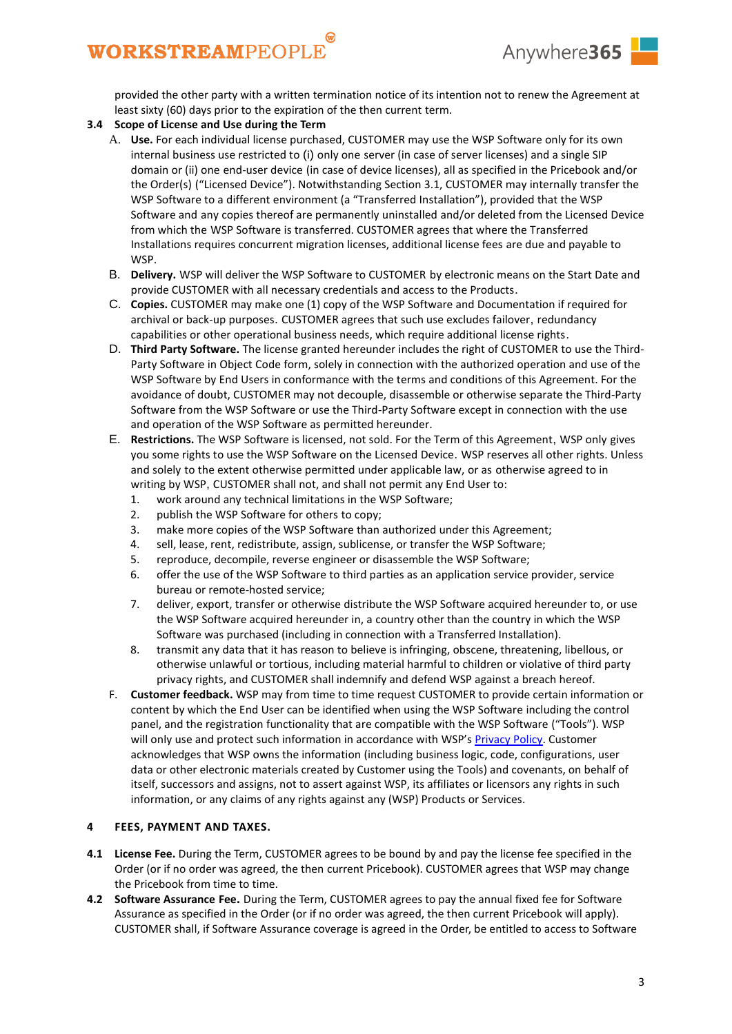

provided the other party with a written termination notice of its intention not to renew the Agreement at least sixty (60) days prior to the expiration of the then current term.

### **3.4 Scope of License and Use during the Term**

- A. **Use.** For each individual license purchased, CUSTOMER may use the WSP Software only for its own internal business use restricted to (i) only one server (in case of server licenses) and a single SIP domain or (ii) one end-user device (in case of device licenses), all as specified in the Pricebook and/or the Order(s) ("Licensed Device"). Notwithstanding Section [3.1,](#page-1-3) CUSTOMER may internally transfer the WSP Software to a different environment (a "Transferred Installation"), provided that the WSP Software and any copies thereof are permanently uninstalled and/or deleted from the Licensed Device from which the WSP Software is transferred. CUSTOMER agrees that where the Transferred Installations requires concurrent migration licenses, additional license fees are due and payable to WSP.
- B. **Delivery.** WSP will deliver the WSP Software to CUSTOMER by electronic means on the Start Date and provide CUSTOMER with all necessary credentials and access to the Products.
- C. **Copies.** CUSTOMER may make one (1) copy of the WSP Software and Documentation if required for archival or back-up purposes. CUSTOMER agrees that such use excludes failover, redundancy capabilities or other operational business needs, which require additional license rights.
- D. **Third Party Software.** The license granted hereunder includes the right of CUSTOMER to use the Third-Party Software in Object Code form, solely in connection with the authorized operation and use of the WSP Software by End Users in conformance with the terms and conditions of this Agreement. For the avoidance of doubt, CUSTOMER may not decouple, disassemble or otherwise separate the Third-Party Software from the WSP Software or use the Third-Party Software except in connection with the use and operation of the WSP Software as permitted hereunder.
- E. **Restrictions.** The WSP Software is licensed, not sold. For the Term of this Agreement, WSP only gives you some rights to use the WSP Software on the Licensed Device. WSP reserves all other rights. Unless and solely to the extent otherwise permitted under applicable law, or as otherwise agreed to in writing by WSP, CUSTOMER shall not, and shall not permit any End User to:
	- 1. work around any technical limitations in the WSP Software;
	- 2. publish the WSP Software for others to copy;
	- 3. make more copies of the WSP Software than authorized under this Agreement;
	- 4. sell, lease, rent, redistribute, assign, sublicense, or transfer the WSP Software;
	- 5. reproduce, decompile, reverse engineer or disassemble the WSP Software;
	- 6. offer the use of the WSP Software to third parties as an application service provider, service bureau or remote-hosted service;
	- 7. deliver, export, transfer or otherwise distribute the WSP Software acquired hereunder to, or use the WSP Software acquired hereunder in, a country other than the country in which the WSP Software was purchased (including in connection with a Transferred Installation).
	- 8. transmit any data that it has reason to believe is infringing, obscene, threatening, libellous, or otherwise unlawful or tortious, including material harmful to children or violative of third party privacy rights, and CUSTOMER shall indemnify and defend WSP against a breach hereof.
- F. **Customer feedback.** WSP may from time to time request CUSTOMER to provide certain information or content by which the End User can be identified when using the WSP Software including the control panel, and the registration functionality that are compatible with the WSP Software ("Tools"). WSP will only use and protect such information in accordance with WSP's [Privacy Policy.](https://anywhere365.io/privacy-policy/) Customer acknowledges that WSP owns the information (including business logic, code, configurations, user data or other electronic materials created by Customer using the Tools) and covenants, on behalf of itself, successors and assigns, not to assert against WSP, its affiliates or licensors any rights in such information, or any claims of any rights against any (WSP) Products or Services.

#### **4 FEES, PAYMENT AND TAXES.**

- <span id="page-2-0"></span>**4.1 License Fee.** During the Term, CUSTOMER agrees to be bound by and pay the license fee specified in the Order (or if no order was agreed, the then current Pricebook). CUSTOMER agrees that WSP may change the Pricebook from time to time.
- <span id="page-2-1"></span>**4.2 Software Assurance Fee.** During the Term, CUSTOMER agrees to pay the annual fixed fee for Software Assurance as specified in the Order (or if no order was agreed, the then current Pricebook will apply). CUSTOMER shall, if Software Assurance coverage is agreed in the Order, be entitled to access to Software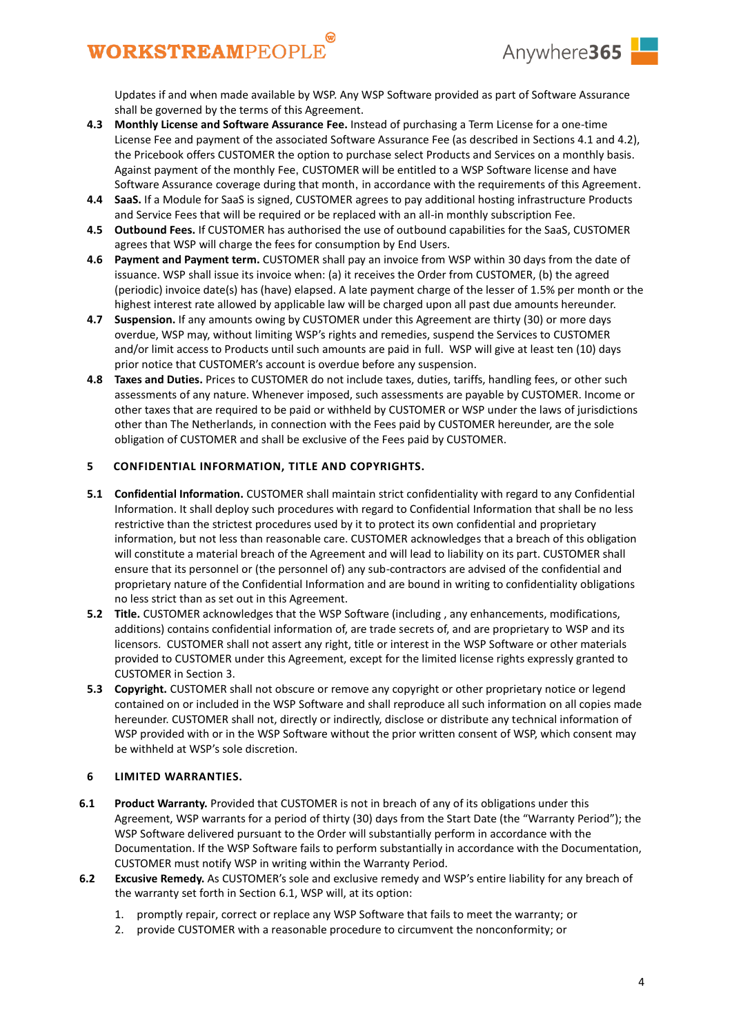

Updates if and when made available by WSP. Any WSP Software provided as part of Software Assurance shall be governed by the terms of this Agreement.

- **4.3 Monthly License and Software Assurance Fee.** Instead of purchasing a Term License for a one-time License Fee and payment of the associated Software Assurance Fee (as described in Sections [4.1](#page-2-0) an[d 4.2\)](#page-2-1), the Pricebook offers CUSTOMER the option to purchase select Products and Services on a monthly basis. Against payment of the monthly Fee, CUSTOMER will be entitled to a WSP Software license and have Software Assurance coverage during that month, in accordance with the requirements of this Agreement.
- **4.4 SaaS.** If a Module for SaaS is signed, CUSTOMER agrees to pay additional hosting infrastructure Products and Service Fees that will be required or be replaced with an all-in monthly subscription Fee.
- **4.5 Outbound Fees.** If CUSTOMER has authorised the use of outbound capabilities for the SaaS, CUSTOMER agrees that WSP will charge the fees for consumption by End Users.
- **4.6 Payment and Payment term.** CUSTOMER shall pay an invoice from WSP within 30 days from the date of issuance. WSP shall issue its invoice when: (a) it receives the Order from CUSTOMER, (b) the agreed (periodic) invoice date(s) has (have) elapsed. A late payment charge of the lesser of 1.5% per month or the highest interest rate allowed by applicable law will be charged upon all past due amounts hereunder.
- **4.7 Suspension.** If any amounts owing by CUSTOMER under this Agreement are thirty (30) or more days overdue, WSP may, without limiting WSP's rights and remedies, suspend the Services to CUSTOMER and/or limit access to Products until such amounts are paid in full. WSP will give at least ten (10) days prior notice that CUSTOMER's account is overdue before any suspension.
- **4.8 Taxes and Duties.** Prices to CUSTOMER do not include taxes, duties, tariffs, handling fees, or other such assessments of any nature. Whenever imposed, such assessments are payable by CUSTOMER. Income or other taxes that are required to be paid or withheld by CUSTOMER or WSP under the laws of jurisdictions other than The Netherlands, in connection with the Fees paid by CUSTOMER hereunder, are the sole obligation of CUSTOMER and shall be exclusive of the Fees paid by CUSTOMER.

### **5 CONFIDENTIAL INFORMATION, TITLE AND COPYRIGHTS.**

- **5.1 Confidential Information.** CUSTOMER shall maintain strict confidentiality with regard to any Confidential Information. It shall deploy such procedures with regard to Confidential Information that shall be no less restrictive than the strictest procedures used by it to protect its own confidential and proprietary information, but not less than reasonable care. CUSTOMER acknowledges that a breach of this obligation will constitute a material breach of the Agreement and will lead to liability on its part. CUSTOMER shall ensure that its personnel or (the personnel of) any sub-contractors are advised of the confidential and proprietary nature of the Confidential Information and are bound in writing to confidentiality obligations no less strict than as set out in this Agreement.
- **5.2 Title.** CUSTOMER acknowledges that the WSP Software (including , any enhancements, modifications, additions) contains confidential information of, are trade secrets of, and are proprietary to WSP and its licensors. CUSTOMER shall not assert any right, title or interest in the WSP Software or other materials provided to CUSTOMER under this Agreement, except for the limited license rights expressly granted to CUSTOMER in Section [3.](#page-1-4)
- **5.3 Copyright.** CUSTOMER shall not obscure or remove any copyright or other proprietary notice or legend contained on or included in the WSP Software and shall reproduce all such information on all copies made hereunder. CUSTOMER shall not, directly or indirectly, disclose or distribute any technical information of WSP provided with or in the WSP Software without the prior written consent of WSP, which consent may be withheld at WSP's sole discretion.

#### <span id="page-3-1"></span>**6 LIMITED WARRANTIES.**

- <span id="page-3-0"></span>**6.1 Product Warranty.** Provided that CUSTOMER is not in breach of any of its obligations under this Agreement, WSP warrants for a period of thirty (30) days from the Start Date (the "Warranty Period"); the WSP Software delivered pursuant to the Order will substantially perform in accordance with the Documentation. If the WSP Software fails to perform substantially in accordance with the Documentation, CUSTOMER must notify WSP in writing within the Warranty Period.
- **6.2 Excusive Remedy.** As CUSTOMER's sole and exclusive remedy and WSP's entire liability for any breach of the warranty set forth in Section [6.1,](#page-3-0) WSP will, at its option:
	- 1. promptly repair, correct or replace any WSP Software that fails to meet the warranty; or
	- 2. provide CUSTOMER with a reasonable procedure to circumvent the nonconformity; or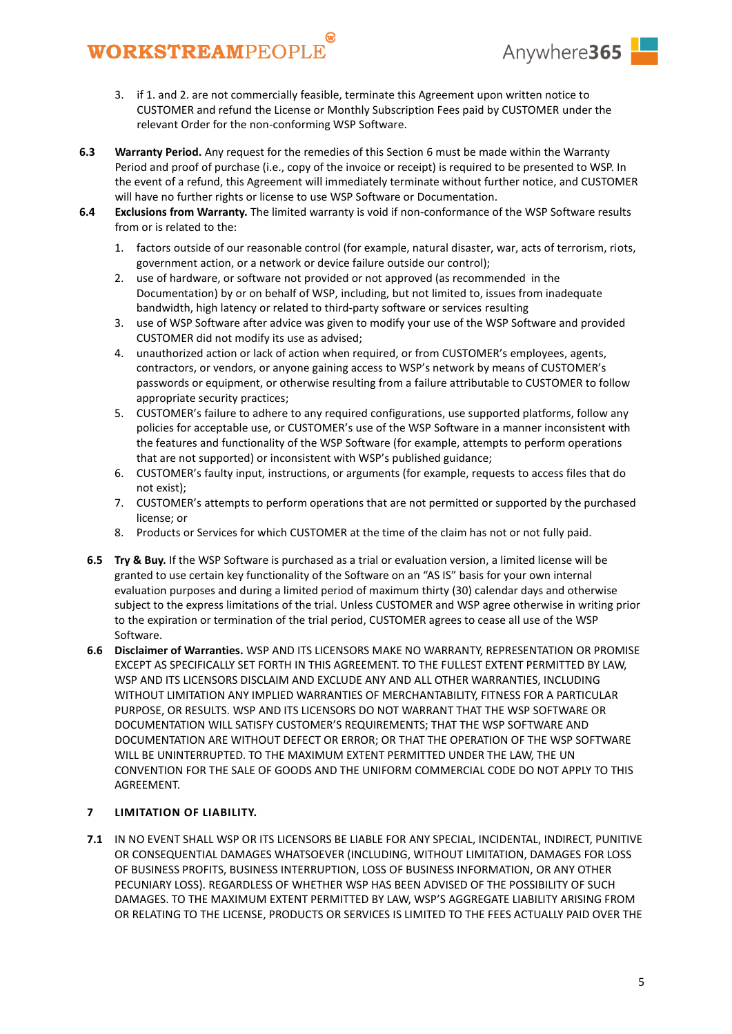

- 3. if 1. and 2. are not commercially feasible, terminate this Agreement upon written notice to CUSTOMER and refund the License or Monthly Subscription Fees paid by CUSTOMER under the relevant Order for the non-conforming WSP Software.
- **6.3 Warranty Period.** Any request for the remedies of this Section [6](#page-3-1) must be made within the Warranty Period and proof of purchase (i.e., copy of the invoice or receipt) is required to be presented to WSP. In the event of a refund, this Agreement will immediately terminate without further notice, and CUSTOMER will have no further rights or license to use WSP Software or Documentation.
- **6.4 Exclusions from Warranty.** The limited warranty is void if non-conformance of the WSP Software results from or is related to the:
	- 1. factors outside of our reasonable control (for example, natural disaster, war, acts of terrorism, riots, government action, or a network or device failure outside our control);
	- 2. use of hardware, or software not provided or not approved (as recommended in the Documentation) by or on behalf of WSP, including, but not limited to, issues from inadequate bandwidth, high latency or related to third-party software or services resulting
	- 3. use of WSP Software after advice was given to modify your use of the WSP Software and provided CUSTOMER did not modify its use as advised;
	- 4. unauthorized action or lack of action when required, or from CUSTOMER's employees, agents, contractors, or vendors, or anyone gaining access to WSP's network by means of CUSTOMER's passwords or equipment, or otherwise resulting from a failure attributable to CUSTOMER to follow appropriate security practices;
	- 5. CUSTOMER's failure to adhere to any required configurations, use supported platforms, follow any policies for acceptable use, or CUSTOMER's use of the WSP Software in a manner inconsistent with the features and functionality of the WSP Software (for example, attempts to perform operations that are not supported) or inconsistent with WSP's published guidance;
	- 6. CUSTOMER's faulty input, instructions, or arguments (for example, requests to access files that do not exist);
	- 7. CUSTOMER's attempts to perform operations that are not permitted or supported by the purchased license; or
	- 8. Products or Services for which CUSTOMER at the time of the claim has not or not fully paid.
	- **6.5 Try & Buy.** If the WSP Software is purchased as a trial or evaluation version, a limited license will be granted to use certain key functionality of the Software on an "AS IS" basis for your own internal evaluation purposes and during a limited period of maximum thirty (30) calendar days and otherwise subject to the express limitations of the trial. Unless CUSTOMER and WSP agree otherwise in writing prior to the expiration or termination of the trial period, CUSTOMER agrees to cease all use of the WSP Software.
	- **6.6 Disclaimer of Warranties.** WSP AND ITS LICENSORS MAKE NO WARRANTY, REPRESENTATION OR PROMISE EXCEPT AS SPECIFICALLY SET FORTH IN THIS AGREEMENT. TO THE FULLEST EXTENT PERMITTED BY LAW, WSP AND ITS LICENSORS DISCLAIM AND EXCLUDE ANY AND ALL OTHER WARRANTIES, INCLUDING WITHOUT LIMITATION ANY IMPLIED WARRANTIES OF MERCHANTABILITY, FITNESS FOR A PARTICULAR PURPOSE, OR RESULTS. WSP AND ITS LICENSORS DO NOT WARRANT THAT THE WSP SOFTWARE OR DOCUMENTATION WILL SATISFY CUSTOMER'S REQUIREMENTS; THAT THE WSP SOFTWARE AND DOCUMENTATION ARE WITHOUT DEFECT OR ERROR; OR THAT THE OPERATION OF THE WSP SOFTWARE WILL BE UNINTERRUPTED. TO THE MAXIMUM EXTENT PERMITTED UNDER THE LAW, THE UN CONVENTION FOR THE SALE OF GOODS AND THE UNIFORM COMMERCIAL CODE DO NOT APPLY TO THIS AGREEMENT.

### **7 LIMITATION OF LIABILITY.**

**7.1** IN NO EVENT SHALL WSP OR ITS LICENSORS BE LIABLE FOR ANY SPECIAL, INCIDENTAL, INDIRECT, PUNITIVE OR CONSEQUENTIAL DAMAGES WHATSOEVER (INCLUDING, WITHOUT LIMITATION, DAMAGES FOR LOSS OF BUSINESS PROFITS, BUSINESS INTERRUPTION, LOSS OF BUSINESS INFORMATION, OR ANY OTHER PECUNIARY LOSS). REGARDLESS OF WHETHER WSP HAS BEEN ADVISED OF THE POSSIBILITY OF SUCH DAMAGES. TO THE MAXIMUM EXTENT PERMITTED BY LAW, WSP'S AGGREGATE LIABILITY ARISING FROM OR RELATING TO THE LICENSE, PRODUCTS OR SERVICES IS LIMITED TO THE FEES ACTUALLY PAID OVER THE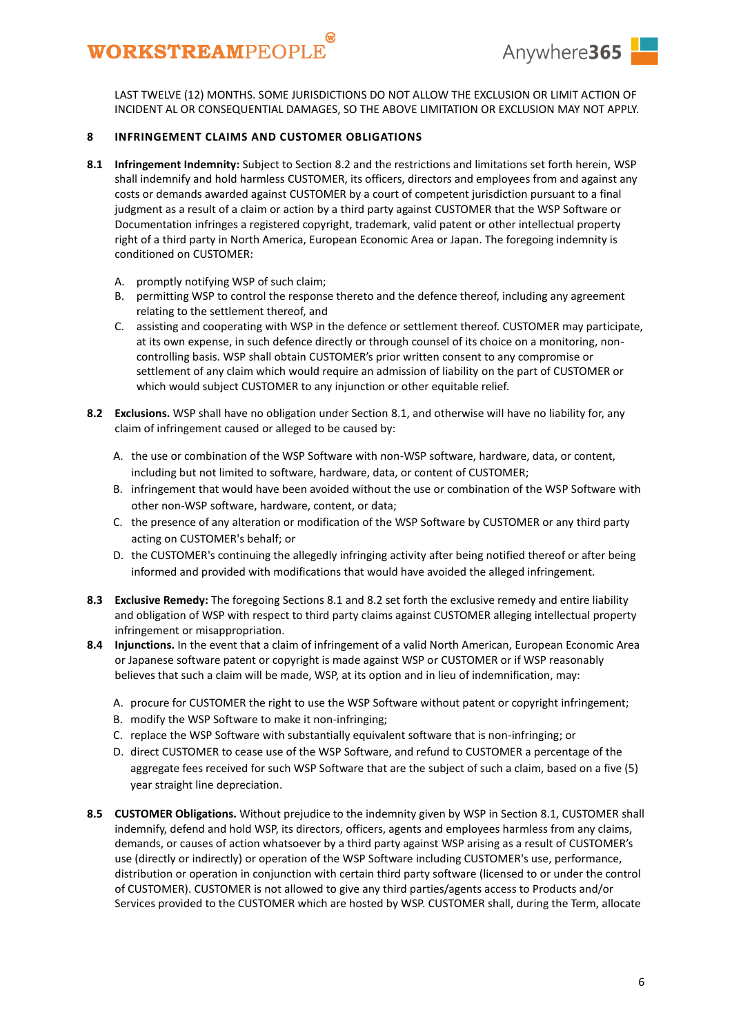

LAST TWELVE (12) MONTHS. SOME JURISDICTIONS DO NOT ALLOW THE EXCLUSION OR LIMIT ACTION OF INCIDENT AL OR CONSEQUENTIAL DAMAGES, SO THE ABOVE LIMITATION OR EXCLUSION MAY NOT APPLY.

### **8 INFRINGEMENT CLAIMS AND CUSTOMER OBLIGATIONS**

- <span id="page-5-1"></span>**8.1 Infringement Indemnity:** Subject to Sectio[n 8.2](#page-5-0) and the restrictions and limitations set forth herein, WSP shall indemnify and hold harmless CUSTOMER, its officers, directors and employees from and against any costs or demands awarded against CUSTOMER by a court of competent jurisdiction pursuant to a final judgment as a result of a claim or action by a third party against CUSTOMER that the WSP Software or Documentation infringes a registered copyright, trademark, valid patent or other intellectual property right of a third party in North America, European Economic Area or Japan. The foregoing indemnity is conditioned on CUSTOMER:
	- A. promptly notifying WSP of such claim;
	- B. permitting WSP to control the response thereto and the defence thereof, including any agreement relating to the settlement thereof, and
	- C. assisting and cooperating with WSP in the defence or settlement thereof. CUSTOMER may participate, at its own expense, in such defence directly or through counsel of its choice on a monitoring, noncontrolling basis. WSP shall obtain CUSTOMER's prior written consent to any compromise or settlement of any claim which would require an admission of liability on the part of CUSTOMER or which would subject CUSTOMER to any injunction or other equitable relief.
- <span id="page-5-0"></span>**8.2 Exclusions.** WSP shall have no obligation under Section [8.1,](#page-5-1) and otherwise will have no liability for, any claim of infringement caused or alleged to be caused by:
	- A. the use or combination of the WSP Software with non-WSP software, hardware, data, or content, including but not limited to software, hardware, data, or content of CUSTOMER;
	- B. infringement that would have been avoided without the use or combination of the WSP Software with other non-WSP software, hardware, content, or data;
	- C. the presence of any alteration or modification of the WSP Software by CUSTOMER or any third party acting on CUSTOMER's behalf; or
	- D. the CUSTOMER's continuing the allegedly infringing activity after being notified thereof or after being informed and provided with modifications that would have avoided the alleged infringement.
- **8.3 Exclusive Remedy:** The foregoing Sections [8.1](#page-5-1) an[d 8.2](#page-5-0) set forth the exclusive remedy and entire liability and obligation of WSP with respect to third party claims against CUSTOMER alleging intellectual property infringement or misappropriation.
- **8.4 Injunctions.** In the event that a claim of infringement of a valid North American, European Economic Area or Japanese software patent or copyright is made against WSP or CUSTOMER or if WSP reasonably believes that such a claim will be made, WSP, at its option and in lieu of indemnification, may:
	- A. procure for CUSTOMER the right to use the WSP Software without patent or copyright infringement;
	- B. modify the WSP Software to make it non-infringing;
	- C. replace the WSP Software with substantially equivalent software that is non-infringing; or
	- D. direct CUSTOMER to cease use of the WSP Software, and refund to CUSTOMER a percentage of the aggregate fees received for such WSP Software that are the subject of such a claim, based on a five (5) year straight line depreciation.
- **8.5 CUSTOMER Obligations.** Without prejudice to the indemnity given by WSP in Section [8.1,](#page-5-1) CUSTOMER shall indemnify, defend and hold WSP, its directors, officers, agents and employees harmless from any claims, demands, or causes of action whatsoever by a third party against WSP arising as a result of CUSTOMER's use (directly or indirectly) or operation of the WSP Software including CUSTOMER's use, performance, distribution or operation in conjunction with certain third party software (licensed to or under the control of CUSTOMER). CUSTOMER is not allowed to give any third parties/agents access to Products and/or Services provided to the CUSTOMER which are hosted by WSP. CUSTOMER shall, during the Term, allocate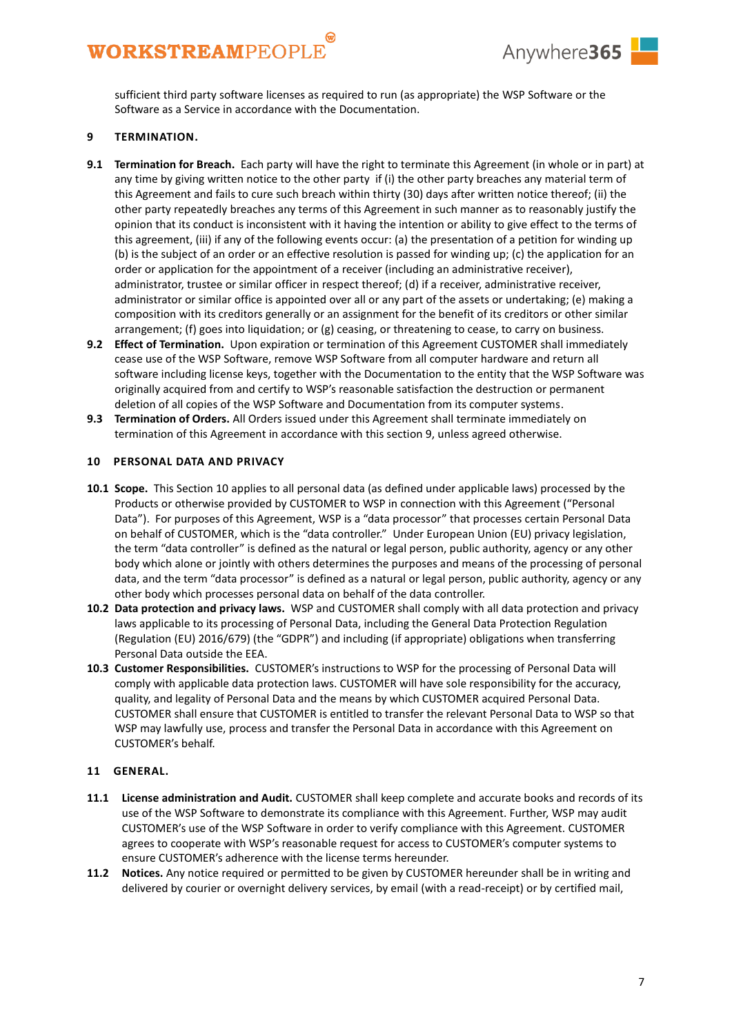

sufficient third party software licenses as required to run (as appropriate) the WSP Software or the Software as a Service in accordance with the Documentation.

### <span id="page-6-1"></span>**9 TERMINATION.**

- <span id="page-6-0"></span>**9.1 Termination for Breach.** Each party will have the right to terminate this Agreement (in whole or in part) at any time by giving written notice to the other party if (i) the other party breaches any material term of this Agreement and fails to cure such breach within thirty (30) days after written notice thereof; (ii) the other party repeatedly breaches any terms of this Agreement in such manner as to reasonably justify the opinion that its conduct is inconsistent with it having the intention or ability to give effect to the terms of this agreement, (iii) if any of the following events occur: (a) the presentation of a petition for winding up (b) is the subject of an order or an effective resolution is passed for winding up; (c) the application for an order or application for the appointment of a receiver (including an administrative receiver), administrator, trustee or similar officer in respect thereof; (d) if a receiver, administrative receiver, administrator or similar office is appointed over all or any part of the assets or undertaking; (e) making a composition with its creditors generally or an assignment for the benefit of its creditors or other similar arrangement; (f) goes into liquidation; or  $(g)$  ceasing, or threatening to cease, to carry on business.
- **9.2 Effect of Termination.** Upon expiration or termination of this Agreement CUSTOMER shall immediately cease use of the WSP Software, remove WSP Software from all computer hardware and return all software including license keys, together with the Documentation to the entity that the WSP Software was originally acquired from and certify to WSP's reasonable satisfaction the destruction or permanent deletion of all copies of the WSP Software and Documentation from its computer systems.
- **9.3 Termination of Orders.** All Orders issued under this Agreement shall terminate immediately on termination of this Agreement in accordance with this section [9,](#page-6-1) unless agreed otherwise.

#### <span id="page-6-2"></span>**10 PERSONAL DATA AND PRIVACY**

- **10.1 Scope.** This Section [10](#page-6-2) applies to all personal data (as defined under applicable laws) processed by the Products or otherwise provided by CUSTOMER to WSP in connection with this Agreement ("Personal Data"). For purposes of this Agreement, WSP is a "data processor" that processes certain Personal Data on behalf of CUSTOMER, which is the "data controller." Under European Union (EU) privacy legislation, the term "data controller" is defined as the natural or legal person, public authority, agency or any other body which alone or jointly with others determines the purposes and means of the processing of personal data, and the term "data processor" is defined as a natural or legal person, public authority, agency or any other body which processes personal data on behalf of the data controller.
- **10.2 Data protection and privacy laws.** WSP and CUSTOMER shall comply with all data protection and privacy laws applicable to its processing of Personal Data, including the General Data Protection Regulation (Regulation (EU) 2016/679) (the "GDPR") and including (if appropriate) obligations when transferring Personal Data outside the EEA.
- **10.3 Customer Responsibilities.** CUSTOMER's instructions to WSP for the processing of Personal Data will comply with applicable data protection laws. CUSTOMER will have sole responsibility for the accuracy, quality, and legality of Personal Data and the means by which CUSTOMER acquired Personal Data. CUSTOMER shall ensure that CUSTOMER is entitled to transfer the relevant Personal Data to WSP so that WSP may lawfully use, process and transfer the Personal Data in accordance with this Agreement on CUSTOMER's behalf.

#### **11 GENERAL.**

- **11.1 License administration and Audit.** CUSTOMER shall keep complete and accurate books and records of its use of the WSP Software to demonstrate its compliance with this Agreement. Further, WSP may audit CUSTOMER's use of the WSP Software in order to verify compliance with this Agreement. CUSTOMER agrees to cooperate with WSP's reasonable request for access to CUSTOMER's computer systems to ensure CUSTOMER's adherence with the license terms hereunder.
- **11.2 Notices.** Any notice required or permitted to be given by CUSTOMER hereunder shall be in writing and delivered by courier or overnight delivery services, by email (with a read-receipt) or by certified mail,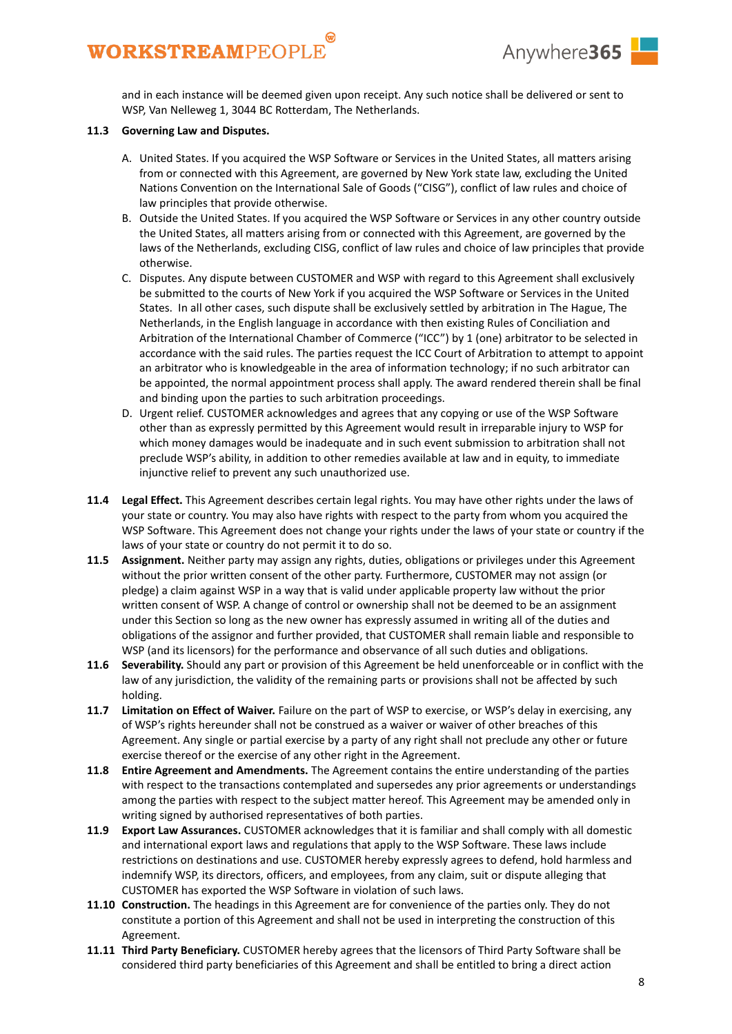

and in each instance will be deemed given upon receipt. Any such notice shall be delivered or sent to WSP, Van Nelleweg 1, 3044 BC Rotterdam, The Netherlands.

### **11.3 Governing Law and Disputes.**

- A. United States. If you acquired the WSP Software or Services in the United States, all matters arising from or connected with this Agreement, are governed by New York state law, excluding the United Nations Convention on the International Sale of Goods ("CISG"), conflict of law rules and choice of law principles that provide otherwise.
- B. Outside the United States. If you acquired the WSP Software or Services in any other country outside the United States, all matters arising from or connected with this Agreement, are governed by the laws of the Netherlands, excluding CISG, conflict of law rules and choice of law principles that provide otherwise.
- C. Disputes. Any dispute between CUSTOMER and WSP with regard to this Agreement shall exclusively be submitted to the courts of New York if you acquired the WSP Software or Services in the United States. In all other cases, such dispute shall be exclusively settled by arbitration in The Hague, The Netherlands, in the English language in accordance with then existing Rules of Conciliation and Arbitration of the International Chamber of Commerce ("ICC") by 1 (one) arbitrator to be selected in accordance with the said rules. The parties request the ICC Court of Arbitration to attempt to appoint an arbitrator who is knowledgeable in the area of information technology; if no such arbitrator can be appointed, the normal appointment process shall apply. The award rendered therein shall be final and binding upon the parties to such arbitration proceedings.
- D. Urgent relief. CUSTOMER acknowledges and agrees that any copying or use of the WSP Software other than as expressly permitted by this Agreement would result in irreparable injury to WSP for which money damages would be inadequate and in such event submission to arbitration shall not preclude WSP's ability, in addition to other remedies available at law and in equity, to immediate injunctive relief to prevent any such unauthorized use.
- **11.4 Legal Effect.** This Agreement describes certain legal rights. You may have other rights under the laws of your state or country. You may also have rights with respect to the party from whom you acquired the WSP Software. This Agreement does not change your rights under the laws of your state or country if the laws of your state or country do not permit it to do so.
- **11.5 Assignment.** Neither party may assign any rights, duties, obligations or privileges under this Agreement without the prior written consent of the other party. Furthermore, CUSTOMER may not assign (or pledge) a claim against WSP in a way that is valid under applicable property law without the prior written consent of WSP. A change of control or ownership shall not be deemed to be an assignment under this Section so long as the new owner has expressly assumed in writing all of the duties and obligations of the assignor and further provided, that CUSTOMER shall remain liable and responsible to WSP (and its licensors) for the performance and observance of all such duties and obligations.
- **11.6 Severability.** Should any part or provision of this Agreement be held unenforceable or in conflict with the law of any jurisdiction, the validity of the remaining parts or provisions shall not be affected by such holding.
- **11.7 Limitation on Effect of Waiver.** Failure on the part of WSP to exercise, or WSP's delay in exercising, any of WSP's rights hereunder shall not be construed as a waiver or waiver of other breaches of this Agreement. Any single or partial exercise by a party of any right shall not preclude any other or future exercise thereof or the exercise of any other right in the Agreement.
- **11.8 Entire Agreement and Amendments.** The Agreement contains the entire understanding of the parties with respect to the transactions contemplated and supersedes any prior agreements or understandings among the parties with respect to the subject matter hereof. This Agreement may be amended only in writing signed by authorised representatives of both parties.
- **11.9 Export Law Assurances.** CUSTOMER acknowledges that it is familiar and shall comply with all domestic and international export laws and regulations that apply to the WSP Software. These laws include restrictions on destinations and use. CUSTOMER hereby expressly agrees to defend, hold harmless and indemnify WSP, its directors, officers, and employees, from any claim, suit or dispute alleging that CUSTOMER has exported the WSP Software in violation of such laws.
- **11.10 Construction.** The headings in this Agreement are for convenience of the parties only. They do not constitute a portion of this Agreement and shall not be used in interpreting the construction of this Agreement.
- **11.11 Third Party Beneficiary.** CUSTOMER hereby agrees that the licensors of Third Party Software shall be considered third party beneficiaries of this Agreement and shall be entitled to bring a direct action